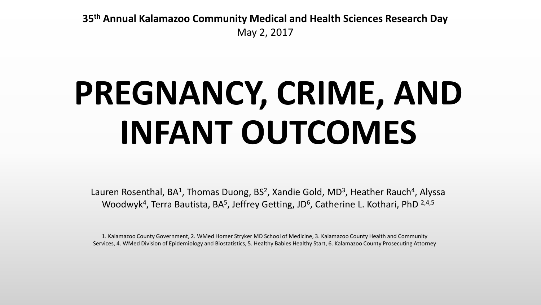**35th Annual Kalamazoo Community Medical and Health Sciences Research Day** May 2, 2017

# **PREGNANCY, CRIME, AND INFANT OUTCOMES**

Lauren Rosenthal, BA<sup>1</sup>, Thomas Duong, BS<sup>2</sup>, Xandie Gold, MD<sup>3</sup>, Heather Rauch<sup>4</sup>, Alyssa Woodwyk<sup>4</sup>, Terra Bautista, BA<sup>5</sup>, Jeffrey Getting, JD<sup>6</sup>, Catherine L. Kothari, PhD  $2,4,5$ 

1. Kalamazoo County Government, 2. WMed Homer Stryker MD School of Medicine, 3. Kalamazoo County Health and Community Services, 4. WMed Division of Epidemiology and Biostatistics, 5. Healthy Babies Healthy Start, 6. Kalamazoo County Prosecuting Attorney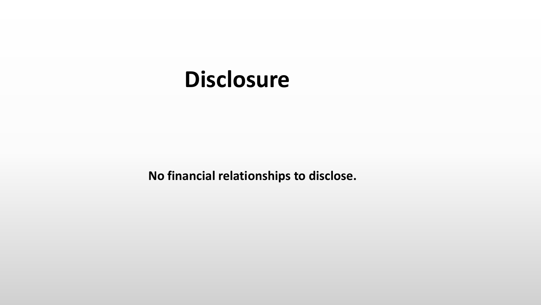#### **Disclosure**

**No financial relationships to disclose.**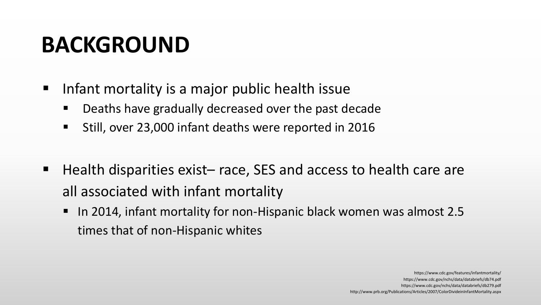#### **BACKGROUND**

- Infant mortality is a major public health issue
	- Deaths have gradually decreased over the past decade
	- **Still, over 23,000 infant deaths were reported in 2016**
- Health disparities exist– race, SES and access to health care are all associated with infant mortality
	- In 2014, infant mortality for non-Hispanic black women was almost 2.5 times that of non-Hispanic whites

https://www.cdc.gov/features/infantmortality/ https://www.cdc.gov/nchs/data/databriefs/db74.pdf https://www.cdc.gov/nchs/data/databriefs/db279.pdf http://www.prb.org/Publications/Articles/2007/ColorDivideinInfantMortality.aspx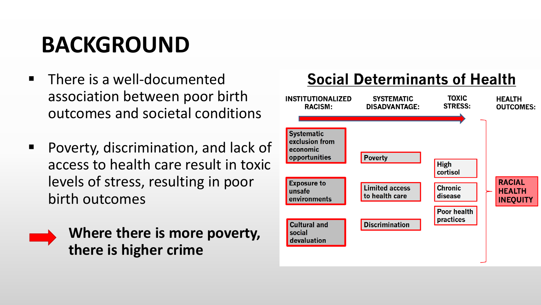#### **BACKGROUND**

- There is a well-documented association between poor birth outcomes and societal conditions
- **Poverty, discrimination, and lack of** access to health care result in toxic levels of stress, resulting in poor birth outcomes



**Where there is more poverty, there is higher crime**



#### **Social Determinants of Health**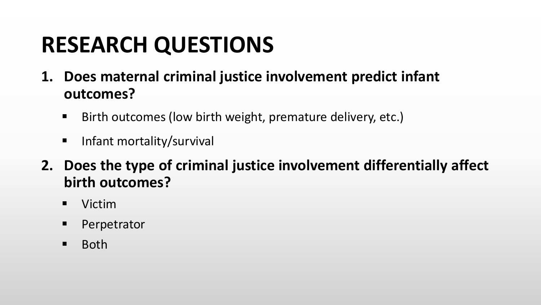#### **RESEARCH QUESTIONS**

- **1. Does maternal criminal justice involvement predict infant outcomes?**
	- Birth outcomes (low birth weight, premature delivery, etc.)
	- **Infant mortality/survival**
- **2. Does the type of criminal justice involvement differentially affect birth outcomes?**
	- **U** Victim
	- **Perpetrator**
	- **Both**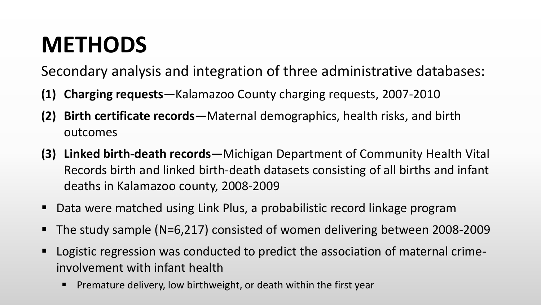#### **METHODS**

Secondary analysis and integration of three administrative databases:

- **(1) Charging requests**—Kalamazoo County charging requests, 2007-2010
- **(2) Birth certificate records**—Maternal demographics, health risks, and birth outcomes
- **(3) Linked birth-death records**—Michigan Department of Community Health Vital Records birth and linked birth-death datasets consisting of all births and infant deaths in Kalamazoo county, 2008-2009
- Data were matched using Link Plus, a probabilistic record linkage program
- The study sample (N=6,217) consisted of women delivering between 2008-2009
- Logistic regression was conducted to predict the association of maternal crimeinvolvement with infant health
	- **Premature delivery, low birthweight, or death within the first year**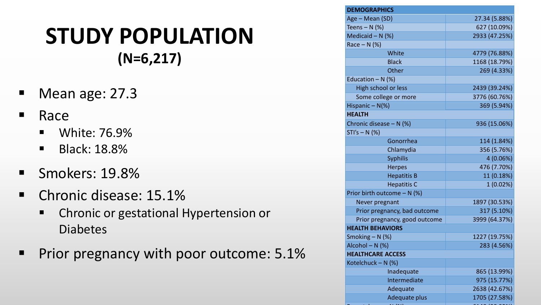#### **STUDY POPULATION (N=6,217)**

- Mean age: 27.3
- **Race** 
	- **Neta** White: 76.9%
	- **Black: 18.8%**
- Smokers: 19.8%
- **Chronic disease: 15.1%** 
	- **EXP** Chronic or gestational Hypertension or Diabetes
- **Prior pregnancy with poor outcome: 5.1%**

| <b>DEMOGRAPHICS</b>           |               |  |  |  |
|-------------------------------|---------------|--|--|--|
| Age - Mean (SD)               | 27.34 (5.88%) |  |  |  |
| Teens $- N$ (%)               | 627 (10.09%)  |  |  |  |
| Medicaid $- N$ (%)            | 2933 (47.25%) |  |  |  |
| Race $- N$ (%)                |               |  |  |  |
| White                         | 4779 (76.88%) |  |  |  |
| <b>Black</b>                  | 1168 (18.79%) |  |  |  |
| Other                         | 269 (4.33%)   |  |  |  |
| Education $- N$ (%)           |               |  |  |  |
| High school or less           | 2439 (39.24%) |  |  |  |
| Some college or more          | 3776 (60.76%) |  |  |  |
| Hispanic $-N(\%)$             | 369 (5.94%)   |  |  |  |
| <b>HEALTH</b>                 |               |  |  |  |
| Chronic disease $- N$ (%)     | 936 (15.06%)  |  |  |  |
| $STI's - N$ (%)               |               |  |  |  |
| Gonorrhea                     | 114 (1.84%)   |  |  |  |
| Chlamydia                     | 356 (5.76%)   |  |  |  |
| <b>Syphilis</b>               | 4 (0.06%)     |  |  |  |
| <b>Herpes</b>                 | 476 (7.70%)   |  |  |  |
| <b>Hepatitis B</b>            | 11 (0.18%)    |  |  |  |
| <b>Hepatitis C</b>            | 1(0.02%)      |  |  |  |
| Prior birth outcome - N (%)   |               |  |  |  |
| Never pregnant                | 1897 (30.53%) |  |  |  |
| Prior pregnancy, bad outcome  | 317 (5.10%)   |  |  |  |
| Prior pregnancy, good outcome | 3999 (64.37%) |  |  |  |
| <b>HEALTH BEHAVIORS</b>       |               |  |  |  |
| Smoking $- N$ (%)             | 1227 (19.75%) |  |  |  |
| Alcohol - N (%)               | 283 (4.56%)   |  |  |  |
| <b>HEALTHCARE ACCESS</b>      |               |  |  |  |
| Kotelchuck - N (%)            |               |  |  |  |
| Inadequate                    | 865 (13.99%)  |  |  |  |
| Intermediate                  | 975 (15.77%)  |  |  |  |
| Adequate                      | 2638 (42.67%) |  |  |  |
| <b>Adequate plus</b>          | 1705 (27.58%) |  |  |  |
|                               |               |  |  |  |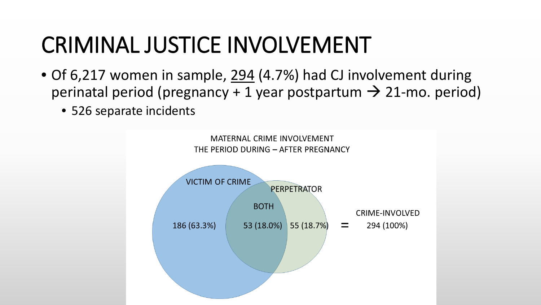### CRIMINAL JUSTICE INVOLVEMENT

- Of 6,217 women in sample, 294 (4.7%) had CJ involvement during perinatal period (pregnancy + 1 year postpartum  $\rightarrow$  21-mo. period)
	- 526 separate incidents

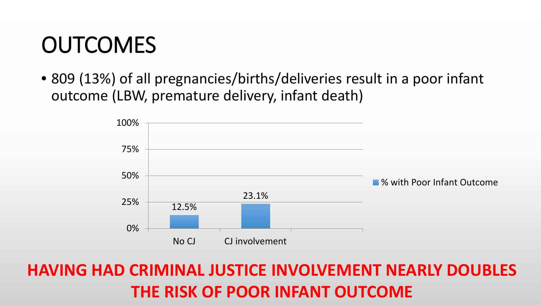#### **OUTCOMES**

• 809 (13%) of all pregnancies/births/deliveries result in a poor infant outcome (LBW, premature delivery, infant death)



#### **HAVING HAD CRIMINAL JUSTICE INVOLVEMENT NEARLY DOUBLES THE RISK OF POOR INFANT OUTCOME**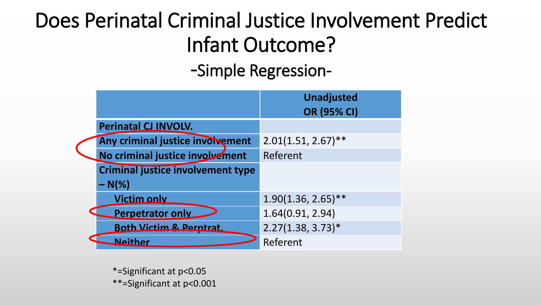#### Does Perinatal Criminal Justice Involvement Predict Infant Outcome?

-Simple Regression-

|                                          | <b>Unadjusted</b><br><b>OR (95% CI)</b> |
|------------------------------------------|-----------------------------------------|
| <b>Perinatal CJ INVOLV.</b>              |                                         |
| Any criminal justice involvement         | $2.01(1.51, 2.67)$ **                   |
| No criminal justice involvement          | Referent                                |
| <b>Criminal justice involvement type</b> |                                         |
| $- N(\%)$                                |                                         |
| <b>Victim only</b>                       | $1.90(1.36, 2.65)$ **                   |
| <b>Perpetrator only</b>                  | 1.64(0.91, 2.94)                        |
| <b>Both Victim &amp; Perntrat.</b>       | $2.27(1.38, 3.73)*$                     |
| <b>Neither</b>                           | Referent                                |

\*=Significant at p<0.05 \*\*=Significant at p<0.001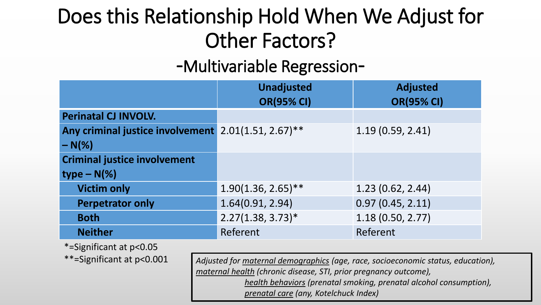#### Does this Relationship Hold When We Adjust for Other Factors?

#### -Multivariable Regression-

|                                                     | <b>Unadjusted</b><br><b>OR(95% CI)</b> | <b>Adjusted</b><br><b>OR(95% CI)</b> |
|-----------------------------------------------------|----------------------------------------|--------------------------------------|
| <b>Perinatal CJ INVOLV.</b>                         |                                        |                                      |
| Any criminal justice involvement 2.01(1.51, 2.67)** |                                        | 1.19(0.59, 2.41)                     |
| $-N\frac{8}{6}$                                     |                                        |                                      |
| <b>Criminal justice involvement</b>                 |                                        |                                      |
| $type - N(\%)$                                      |                                        |                                      |
| <b>Victim only</b>                                  | $1.90(1.36, 2.65)$ **                  | 1.23(0.62, 2.44)                     |
| <b>Perpetrator only</b>                             | 1.64(0.91, 2.94)                       | 0.97(0.45, 2.11)                     |
| <b>Both</b>                                         | $2.27(1.38, 3.73)*$                    | 1.18(0.50, 2.77)                     |
| <b>Neither</b>                                      | Referent                               | Referent                             |

\*=Significant at p<0.05

\*\*=Significant at p<0.001 *Adjusted for maternal demographics (age, race, socioeconomic status, education), maternal health (chronic disease, STI, prior pregnancy outcome), health behaviors (prenatal smoking, prenatal alcohol consumption), prenatal care (any, Kotelchuck Index)*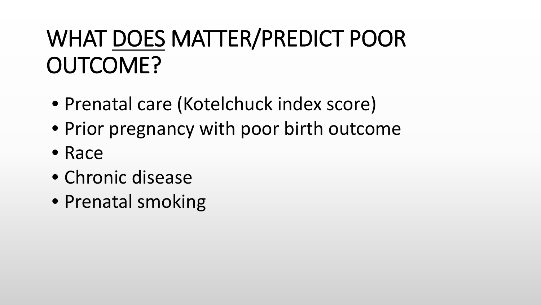# WHAT DOES MATTER/PREDICT POOR OUTCOME?

- Prenatal care (Kotelchuck index score)
- Prior pregnancy with poor birth outcome
- Race
- Chronic disease
- Prenatal smoking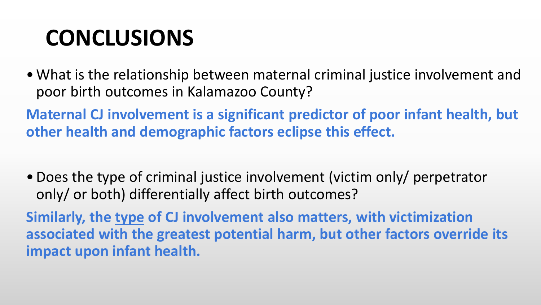## **CONCLUSIONS**

•What is the relationship between maternal criminal justice involvement and poor birth outcomes in Kalamazoo County?

**Maternal CJ involvement is a significant predictor of poor infant health, but other health and demographic factors eclipse this effect.**

•Does the type of criminal justice involvement (victim only/ perpetrator only/ or both) differentially affect birth outcomes?

**Similarly, the type of CJ involvement also matters, with victimization associated with the greatest potential harm, but other factors override its impact upon infant health.**